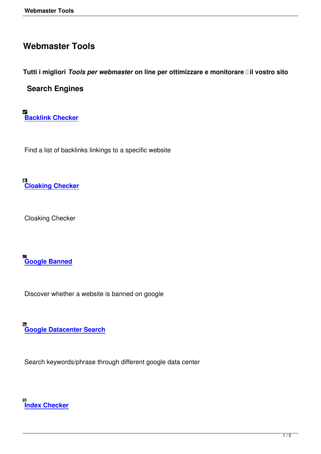## **Webmaster Tools**

**Tutti i migliori** *Tools per webmaster* **on line per ottimizzare e monitorare il vostro sito** 

## **Search Engines**

**Backlink Checker**

[Find a list of backlin](backlink-checker.html)ks linkings to a specific website

**Contract Cloaking Checker**

[Cloaking Checker](cloaking-checker.html)

Æ **Google Banned**

[Discover whethe](google-banned-checker.html)r a website is banned on google

**Google Datacenter Search**

[Search keywords/phrase thro](google-datacenter-search.html)ugh different google data center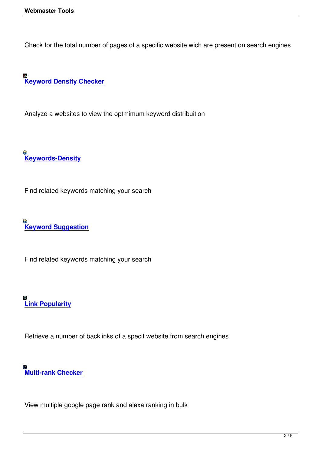Check for the total number of pages of a specific website wich are present on search engines

**Keyword Density Checker** 

[Analyze a websites to view t](keyword-density-checker.html)he optmimum keyword distribuition

**Keywords-Density**

[Find related keywor](free-keywords-density.html)ds matching your search

**Keyword Suggestion**

[Find related keywords](keyword-suggestion.html) matching your search

## **Link Popularity**

[Retrieve a numb](link-popularity.html)er of backlinks of a specif website from search engines

## **Multi-rank Checker**

[View multiple google](multi-rank-checker.html) page rank and alexa ranking in bulk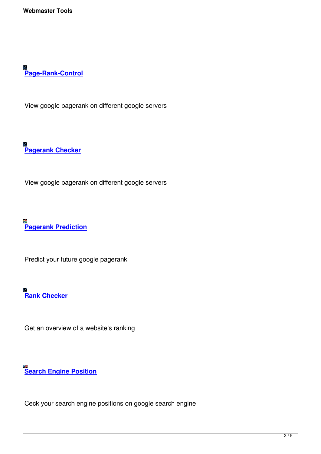**Page-Rank-Control**

[View google pageran](page-rank-control.html)k on different google servers

**Pagerank Checker**

[View google pagera](pagerank-checker.html)nk on different google servers

**Pagerank Prediction**

[Predict your future goo](google-pagerank-prediction.html)gle pagerank

**⊠**<br> <mark>Rank Checker</mark>

[Get an overview](rank-checker.html) of a website's ranking

**Search Engine Position**

[Ceck your search engine](search-engine-position.html) positions on google search engine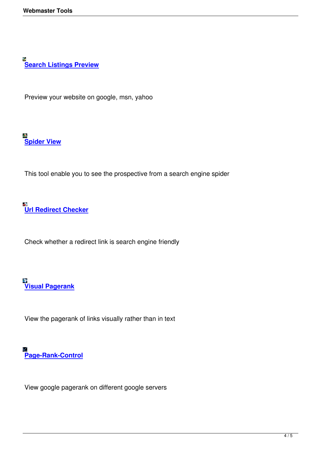[Preview your website on g](search-listings-preview.html)oogle, msn, yahoo

**Spider View**

[This tool ena](spider-view-tool.html)ble you to see the prospective from a search engine spider

**Url Redirect Checker**

[Check whether a redire](url-redirect-checker.html)ct link is search engine friendly

**Visual Pagerank**

[View the pageran](visual-pagerank.html)k of links visually rather than in text

**Page-Rank-Control**

[View google pageran](free-page-rank-control.html)k on different google servers